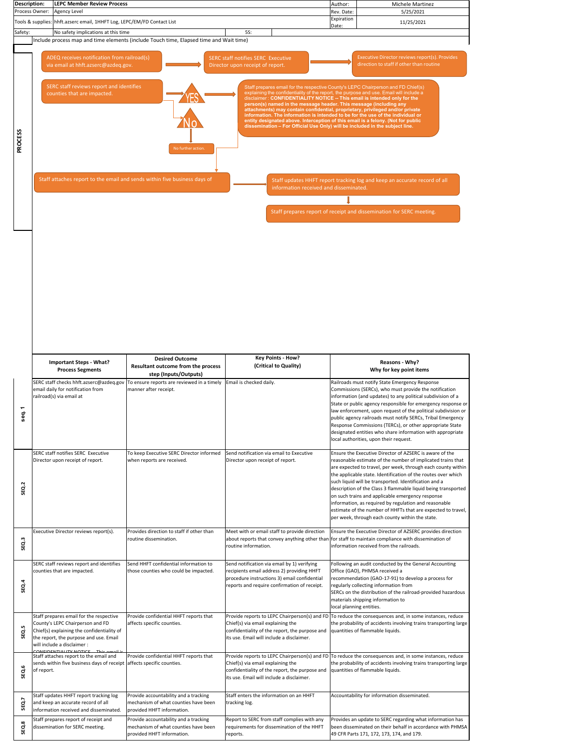| SEQ.2              |                                                                                                                                                                                                                                            |                                                                                                             |                                                                                                                                                                                           | description of the Class 3 flammable liquid being transported<br>on such trains and applicable emergency response<br>information, as required by regulation and reasonable<br>estimate of the number of HHFTs that are expected to travel,<br>per week, through each county within the state.                             |
|--------------------|--------------------------------------------------------------------------------------------------------------------------------------------------------------------------------------------------------------------------------------------|-------------------------------------------------------------------------------------------------------------|-------------------------------------------------------------------------------------------------------------------------------------------------------------------------------------------|---------------------------------------------------------------------------------------------------------------------------------------------------------------------------------------------------------------------------------------------------------------------------------------------------------------------------|
| SEQ.3              | Executive Director reviews report(s).                                                                                                                                                                                                      | Provides direction to staff if other than<br>routine dissemination.                                         | Meet with or email staff to provide direction<br>routine information.                                                                                                                     | Ensure the Executive Director of AZSERC provides direction<br>about reports that convey anything other than for staff to maintain compliance with dissemination of<br>information received from the railroads.                                                                                                            |
| <b>SEQ.4</b>       | SERC staff reviews report and identifies<br>counties that are impacted.                                                                                                                                                                    | Send HHFT confidential information to<br>those counties who could be impacted.                              | Send notification via email by 1) verifying<br>recipients email address 2) providing HHFT<br>procedure instructions 3) email confidential<br>reports and require confirmation of receipt. | Following an audit conducted by the General Accounting<br>Office (GAO), PHMSA received a<br>recommendation (GAO-17-91) to develop a process for<br>regularly collecting information from<br>SERCs on the distribution of the railroad-provided hazardous<br>materials shipping information to<br>local planning entities. |
| LN,<br><b>SEQ.</b> | Staff prepares email for the respective<br>County's LEPC Chairperson and FD<br>Chief(s) explaining the confidentiality of<br>the report, the purpose and use. Email<br>will include a disclaimer :<br>CONFIDENTIALITY NOTICE This amail is | Provide confidential HHFT reports that<br>affects specific counties.                                        | Chief(s) via email explaining the<br>confidentiality of the report, the purpose and<br>its use. Email will include a disclaimer.                                                          | Provide reports to LEPC Chairperson(s) and FD To reduce the consequences and, in some instances, reduce<br>the probability of accidents involving trains transporting large<br>quantities of flammable liquids.                                                                                                           |
| <b>SEQ.6</b>       | Staff attaches report to the email and<br>sends within five business days of receipt<br>of report.                                                                                                                                         | Provide confidential HHFT reports that<br>affects specific counties.                                        | Chief(s) via email explaining the<br>confidentiality of the report, the purpose and<br>its use. Email will include a disclaimer.                                                          | Provide reports to LEPC Chairperson(s) and FD To reduce the consequences and, in some instances, reduce<br>the probability of accidents involving trains transporting large<br>quantities of flammable liquids.                                                                                                           |
| SEQ.7              | Staff updates HHFT report tracking log<br>and keep an accurate record of all<br>information received and disseminated.                                                                                                                     | Provide accountability and a tracking<br>mechanism of what counties have been<br>provided HHFT information. | Staff enters the information on an HHFT<br>tracking log.                                                                                                                                  | Accountability for information disseminated.                                                                                                                                                                                                                                                                              |
| SEQ.8              | Staff prepares report of receipt and<br>dissemination for SERC meeting.                                                                                                                                                                    | Provide accountability and a tracking<br>mechanism of what counties have been<br>provided HHFT information. | Report to SERC from staff complies with any<br>requirements for dissemination of the HHFT<br>reports.                                                                                     | Provides an update to SERC regarding what information has<br>been disseminated on their behalf in accordance with PHMSA<br>49 CFR Parts 171, 172, 173, 174, and 179.                                                                                                                                                      |

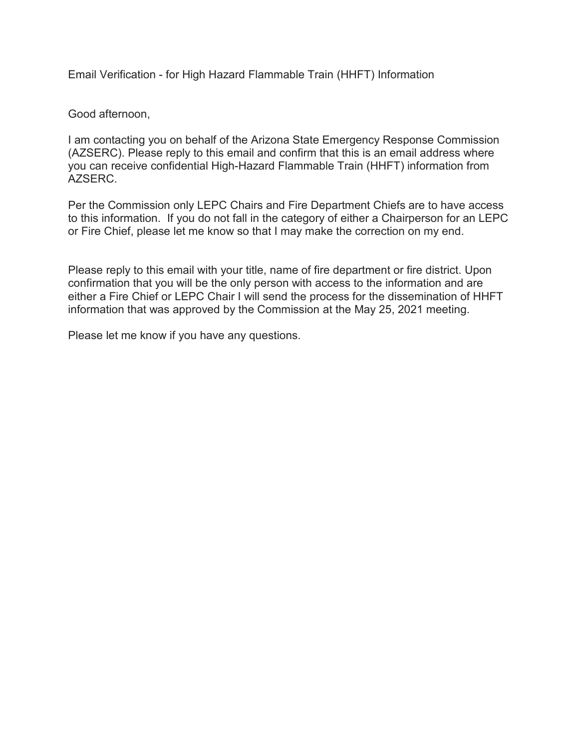Email Verification - for High Hazard Flammable Train (HHFT) Information

Good afternoon,

I am contacting you on behalf of the Arizona State Emergency Response Commission (AZSERC). Please reply to this email and confirm that this is an email address where you can receive confidential High-Hazard Flammable Train (HHFT) information from AZSERC.

Per the Commission only LEPC Chairs and Fire Department Chiefs are to have access to this information. If you do not fall in the category of either a Chairperson for an LEPC or Fire Chief, please let me know so that I may make the correction on my end.

Please reply to this email with your title, name of fire department or fire district. Upon confirmation that you will be the only person with access to the information and are either a Fire Chief or LEPC Chair I will send the process for the dissemination of HHFT information that was approved by the Commission at the May 25, 2021 meeting.

Please let me know if you have any questions.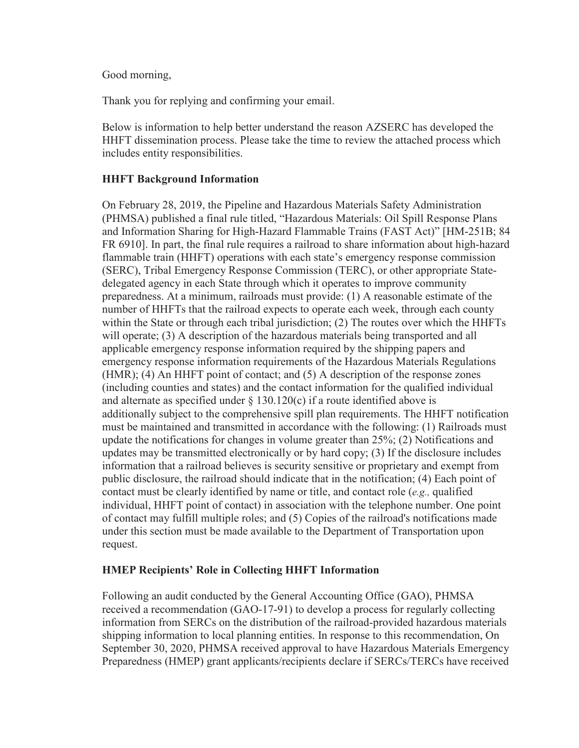Good morning,

Thank you for replying and confirming your email.

Below is information to help better understand the reason AZSERC has developed the HHFT dissemination process. Please take the time to review the attached process which includes entity responsibilities.

### **HHFT Background Information**

On February 28, 2019, the Pipeline and Hazardous Materials Safety Administration (PHMSA) published a final rule titled, "Hazardous Materials: Oil Spill Response Plans and Information Sharing for High-Hazard Flammable Trains (FAST Act)" [HM-251B; 84 FR 6910]. In part, the final rule requires a railroad to share information about high-hazard flammable train (HHFT) operations with each state's emergency response commission (SERC), Tribal Emergency Response Commission (TERC), or other appropriate Statedelegated agency in each State through which it operates to improve community preparedness. At a minimum, railroads must provide: (1) A reasonable estimate of the number of HHFTs that the railroad expects to operate each week, through each county within the State or through each tribal jurisdiction; (2) The routes over which the HHFTs will operate; (3) A description of the hazardous materials being transported and all applicable emergency response information required by the shipping papers and emergency response information requirements of the Hazardous Materials Regulations (HMR); (4) An HHFT point of contact; and (5) A description of the response zones (including counties and states) and the contact information for the qualified individual and alternate as specified under  $\S$  130.120(c) if a route identified above is additionally subject to the comprehensive spill plan requirements. The HHFT notification must be maintained and transmitted in accordance with the following: (1) Railroads must update the notifications for changes in volume greater than 25%; (2) Notifications and updates may be transmitted electronically or by hard copy; (3) If the disclosure includes information that a railroad believes is security sensitive or proprietary and exempt from public disclosure, the railroad should indicate that in the notification; (4) Each point of contact must be clearly identified by name or title, and contact role (*e.g.,* qualified individual, HHFT point of contact) in association with the telephone number. One point of contact may fulfill multiple roles; and (5) Copies of the railroad's notifications made under this section must be made available to the Department of Transportation upon request.

#### **HMEP Recipients' Role in Collecting HHFT Information**

Following an audit conducted by the General Accounting Office (GAO), PHMSA received a recommendation (GAO-17-91) to develop a process for regularly collecting information from SERCs on the distribution of the railroad-provided hazardous materials shipping information to local planning entities. In response to this recommendation, On September 30, 2020, PHMSA received approval to have Hazardous Materials Emergency Preparedness (HMEP) grant applicants/recipients declare if SERCs/TERCs have received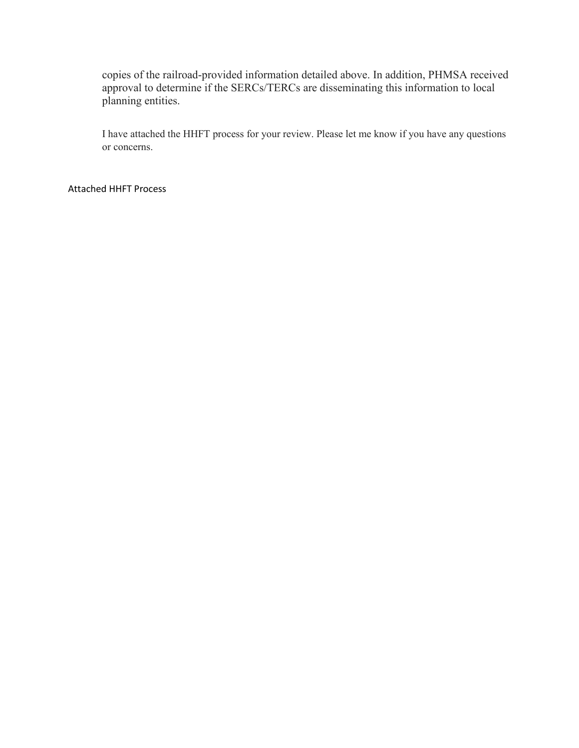copies of the railroad-provided information detailed above. In addition, PHMSA received approval to determine if the SERCs/TERCs are disseminating this information to local planning entities.

I have attached the HHFT process for your review. Please let me know if you have any questions or concerns.

#### Attached HHFT Process